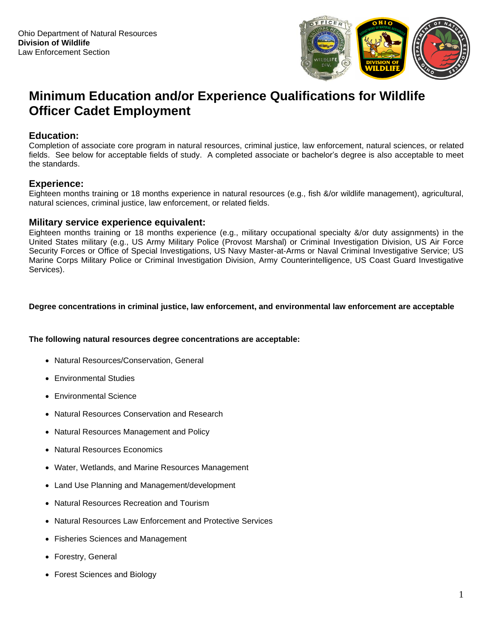

# **Minimum Education and/or Experience Qualifications for Wildlife Officer Cadet Employment**

# **Education:**

Completion of associate core program in natural resources, criminal justice, law enforcement, natural sciences, or related fields. See below for acceptable fields of study. A completed associate or bachelor's degree is also acceptable to meet the standards.

# **Experience:**

Eighteen months training or 18 months experience in natural resources (e.g., fish &/or wildlife management), agricultural, natural sciences, criminal justice, law enforcement, or related fields.

## **Military service experience equivalent:**

Eighteen months training or 18 months experience (e.g., military occupational specialty &/or duty assignments) in the United States military (e.g., US Army Military Police (Provost Marshal) or Criminal Investigation Division, US Air Force Security Forces or Office of Special Investigations, US Navy Master-at-Arms or Naval Criminal Investigative Service; US Marine Corps Military Police or Criminal Investigation Division, Army Counterintelligence, US Coast Guard Investigative Services).

### **Degree concentrations in criminal justice, law enforcement, and environmental law enforcement are acceptable**

#### **The following natural resources degree concentrations are acceptable:**

- Natural Resources/Conservation, General
- [Environmental Studies](https://www.collegeatlas.org/environmental-studies-colleges.html)
- [Environmental Science](https://www.collegeatlas.org/environmental-science-colleges.html)
- Natural Resources [Conservation and Research](https://www.collegeatlas.org/natural-resources-conservation-research-colleges.html)
- Natural Resources [Management and Policy](https://www.collegeatlas.org/natural-resources-management-policy-colleges.html)
- [Natural Resources](https://www.collegeatlas.org/natural-resources-economics-colleges.html) Economics
- Water, Wetlands, and [Marine Resources Management](https://www.collegeatlas.org/water-wetlands-marine-resources-management-colleges.html)
- Land Use Planning and [Management/development](https://www.collegeatlas.org/land-use-planning-management-colleges.html)
- Natural Resources [Recreation and Tourism](https://www.collegeatlas.org/natural-resource-recreation-tourism-colleges.html)
- [Natural Resources Law](https://www.collegeatlas.org/natural-resources-law-enforcement-colleges.html) Enforcement and Protective Services
- Fisheries [Sciences and Management](https://www.collegeatlas.org/fishing-fisheries-sciences-management-colleges.html)
- [Forestry, General](https://www.collegeatlas.org/general-forestry-colleges.html)
- [Forest Sciences and](https://www.collegeatlas.org/forest-sciences-biology-colleges.html) Biology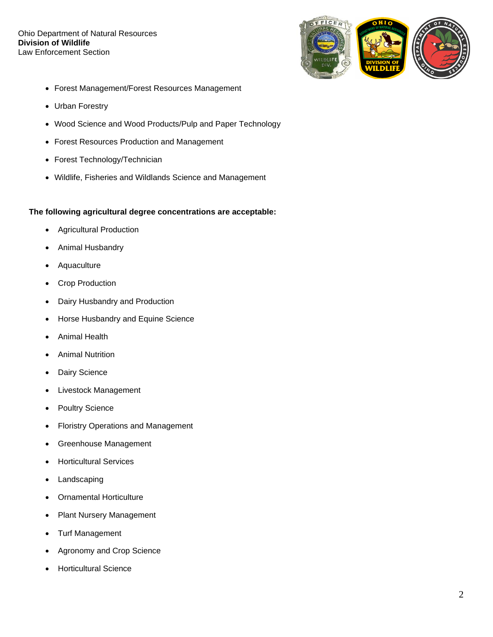#### Ohio Department of Natural Resources **Division of Wildlife** Law Enforcement Section



- Forest [Management/Forest Resources](https://www.collegeatlas.org/forest-resources-management-colleges.html) Management
- [Urban Forestry](https://www.collegeatlas.org/urban-forestry-colleges.html)
- Wood Science and Wood [Products/Pulp and Paper Technology](https://www.collegeatlas.org/wood-science-products-technology-colleges.html)
- Forest Resources [Production and Management](https://www.collegeatlas.org/forest-resources-production-management-colleges.html)
- Forest [Technology/Technician](https://www.collegeatlas.org/forest-technology-technician-colleges.html)
- Wildlife, Fisheries and [Wildlands Science and Management](https://www.collegeatlas.org/wildlife-fish-science-management-colleges.html)

## **The following agricultural degree concentrations are acceptable:**

- [Agricultural Production](https://www.collegeatlas.org/agricultural-production-colleges.html)
- [Animal Husbandry](https://www.collegeatlas.org/animal-husbandry-colleges.html)
- **[Aquaculture](https://www.collegeatlas.org/aquaculture-colleges.html)**
- [Crop Production](https://www.collegeatlas.org/crop-production-colleges.html)
- [Dairy Husbandry and Production](https://www.collegeatlas.org/dairy-husbandry-colleges.html)
- [Horse Husbandry and Equine Science](https://www.collegeatlas.org/horse-husbandry-colleges.html)
- [Animal Health](https://www.collegeatlas.org/animal-health-colleges.html)
- [Animal Nutrition](https://www.collegeatlas.org/animal-nutrition-colleges.html)
- Dairy [Science](https://www.collegeatlas.org/dairy-science-colleges.html)
- [Livestock Management](https://www.collegeatlas.org/livestock-management-colleges.html)
- [Poultry Science](https://www.collegeatlas.org/poultry-science-colleges.html)
- [Floristry Operations and Management](https://www.collegeatlas.org/floristry-operations-management-colleges.html)
- [Greenhouse Management](https://www.collegeatlas.org/greenhouse-management-colleges.html)
- [Horticultural Services](https://www.collegeatlas.org/horticultural-services-colleges.html)
- [Landscaping](https://www.collegeatlas.org/landscaping-colleges.html)
- [Ornamental Horticulture](https://www.collegeatlas.org/ornamental-horticulture-colleges.html)
- [Plant Nursery Management](https://www.collegeatlas.org/plant-nursery-management-colleges.html)
- [Turf Management](https://www.collegeatlas.org/turf-management-colleges.html)
- [Agronomy and Crop](https://www.collegeatlas.org/agronomy-crop-science-colleges.html) Science
- [Horticultural Science](https://www.collegeatlas.org/horticultural-science-colleges.html)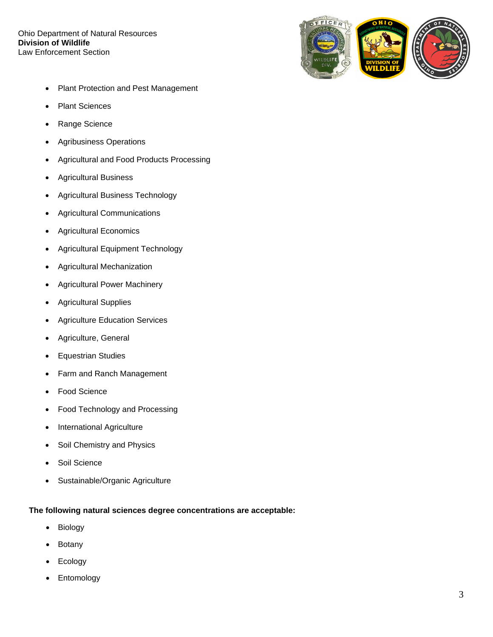#### Ohio Department of Natural Resources **Division of Wildlife** Law Enforcement Section



- [Plant Protection and Pest Management](https://www.collegeatlas.org/plant-protection-colleges.html)
- [Plant Sciences](https://www.collegeatlas.org/plant-sciences-colleges.html)
- [Range Science](https://www.collegeatlas.org/range-science-colleges.html)
- [Agribusiness Operations](https://www.collegeatlas.org/agribusiness-operations-colleges.html)
- [Agricultural and Food Products Processing](https://www.collegeatlas.org/agricultural-food-processing-colleges.html)
- [Agricultural Business](https://www.collegeatlas.org/agricultural-business-colleges.html)
- [Agricultural Business Technology](https://www.collegeatlas.org/agricultural-business-technology-colleges.html)
- [Agricultural Communications](https://www.collegeatlas.org/agricultural-communications-colleges.html)
- [Agricultural Economics](https://www.collegeatlas.org/agricultural-economics-colleges.html)
- [Agricultural Equipment Technology](https://www.collegeatlas.org/agricultural-equipment-technology-colleges.html)
- [Agricultural Mechanization](https://www.collegeatlas.org/agricultural-mechanization-colleges.html)
- [Agricultural Power Machinery](https://www.collegeatlas.org/agricultural-power-machinery-colleges.html)
- [Agricultural Supplies](https://www.collegeatlas.org/agricultural-supplies-colleges.html)
- [Agriculture Education Services](https://www.collegeatlas.org/agriculture-education-services-colleges.html)
- [Agriculture, General](https://www.collegeatlas.org/agriculture-general-colleges.html)
- [Equestrian Studies](https://www.collegeatlas.org/equestrian-studies-colleges.html)
- [Farm and Ranch Management](https://www.collegeatlas.org/farm-ranch-management-colleges.html)
- [Food Science](https://www.collegeatlas.org/food-science-colleges.html)
- [Food Technology and Processing](https://www.collegeatlas.org/food-technology-processing-colleges.html)
- [International Agriculture](https://www.collegeatlas.org/international-agriculture-colleges.html)
- [Soil Chemistry and Physics](https://www.collegeatlas.org/soil-chemistry-physics-colleges.html)
- [Soil Science](https://www.collegeatlas.org/soil-science-colleges.html)
- [Sustainable/Organic Agriculture](https://www.collegeatlas.org/sustainable-agriculture-colleges.html)

## **The following natural sciences degree concentrations are acceptable:**

- Biology
- Botany
- Ecology
- **Entomology**